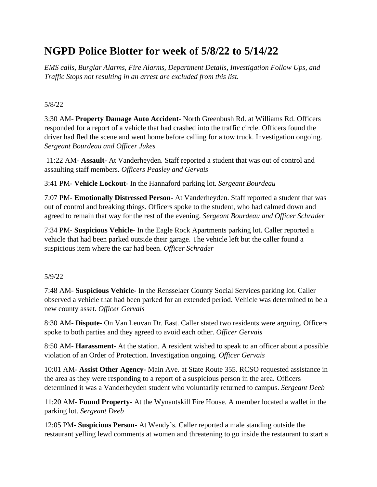# **NGPD Police Blotter for week of 5/8/22 to 5/14/22**

*EMS calls, Burglar Alarms, Fire Alarms, Department Details, Investigation Follow Ups, and Traffic Stops not resulting in an arrest are excluded from this list.*

#### 5/8/22

3:30 AM- **Property Damage Auto Accident**- North Greenbush Rd. at Williams Rd. Officers responded for a report of a vehicle that had crashed into the traffic circle. Officers found the driver had fled the scene and went home before calling for a tow truck. Investigation ongoing. *Sergeant Bourdeau and Officer Jukes*

11:22 AM- **Assault-** At Vanderheyden. Staff reported a student that was out of control and assaulting staff members. *Officers Peasley and Gervais*

3:41 PM- **Vehicle Lockout**- In the Hannaford parking lot. *Sergeant Bourdeau*

7:07 PM- **Emotionally Distressed Person-** At Vanderheyden. Staff reported a student that was out of control and breaking things. Officers spoke to the student, who had calmed down and agreed to remain that way for the rest of the evening. *Sergeant Bourdeau and Officer Schrader*

7:34 PM- **Suspicious Vehicle-** In the Eagle Rock Apartments parking lot. Caller reported a vehicle that had been parked outside their garage. The vehicle left but the caller found a suspicious item where the car had been. *Officer Schrader*

#### 5/9/22

7:48 AM- **Suspicious Vehicle-** In the Rensselaer County Social Services parking lot. Caller observed a vehicle that had been parked for an extended period. Vehicle was determined to be a new county asset. *Officer Gervais*

8:30 AM- **Dispute-** On Van Leuvan Dr. East. Caller stated two residents were arguing. Officers spoke to both parties and they agreed to avoid each other. *Officer Gervais*

8:50 AM- **Harassment-** At the station. A resident wished to speak to an officer about a possible violation of an Order of Protection. Investigation ongoing. *Officer Gervais*

10:01 AM- **Assist Other Agency-** Main Ave. at State Route 355. RCSO requested assistance in the area as they were responding to a report of a suspicious person in the area. Officers determined it was a Vanderheyden student who voluntarily returned to campus. *Sergeant Deeb*

11:20 AM- **Found Property-** At the Wynantskill Fire House. A member located a wallet in the parking lot. *Sergeant Deeb*

12:05 PM- **Suspicious Person-** At Wendy's. Caller reported a male standing outside the restaurant yelling lewd comments at women and threatening to go inside the restaurant to start a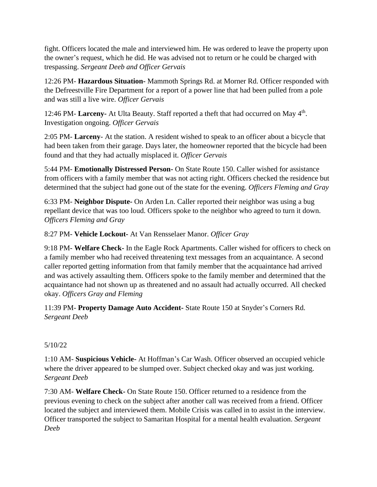fight. Officers located the male and interviewed him. He was ordered to leave the property upon the owner's request, which he did. He was advised not to return or he could be charged with trespassing. *Sergeant Deeb and Officer Gervais*

12:26 PM- **Hazardous Situation-** Mammoth Springs Rd. at Morner Rd. Officer responded with the Defreestville Fire Department for a report of a power line that had been pulled from a pole and was still a live wire. *Officer Gervais*

12:46 PM- Larceny- At Ulta Beauty. Staff reported a theft that had occurred on May 4<sup>th</sup>. Investigation ongoing. *Officer Gervais*

2:05 PM- **Larceny**- At the station. A resident wished to speak to an officer about a bicycle that had been taken from their garage. Days later, the homeowner reported that the bicycle had been found and that they had actually misplaced it. *Officer Gervais*

5:44 PM- **Emotionally Distressed Person-** On State Route 150. Caller wished for assistance from officers with a family member that was not acting right. Officers checked the residence but determined that the subject had gone out of the state for the evening. *Officers Fleming and Gray*

6:33 PM- **Neighbor Dispute-** On Arden Ln. Caller reported their neighbor was using a bug repellant device that was too loud. Officers spoke to the neighbor who agreed to turn it down. *Officers Fleming and Gray*

8:27 PM- **Vehicle Lockout-** At Van Rensselaer Manor. *Officer Gray*

9:18 PM- **Welfare Check-** In the Eagle Rock Apartments. Caller wished for officers to check on a family member who had received threatening text messages from an acquaintance. A second caller reported getting information from that family member that the acquaintance had arrived and was actively assaulting them. Officers spoke to the family member and determined that the acquaintance had not shown up as threatened and no assault had actually occurred. All checked okay. *Officers Gray and Fleming*

11:39 PM- **Property Damage Auto Accident-** State Route 150 at Snyder's Corners Rd. *Sergeant Deeb*

# 5/10/22

1:10 AM- **Suspicious Vehicle-** At Hoffman's Car Wash. Officer observed an occupied vehicle where the driver appeared to be slumped over. Subject checked okay and was just working. *Sergeant Deeb*

7:30 AM- **Welfare Check-** On State Route 150. Officer returned to a residence from the previous evening to check on the subject after another call was received from a friend. Officer located the subject and interviewed them. Mobile Crisis was called in to assist in the interview. Officer transported the subject to Samaritan Hospital for a mental health evaluation. *Sergeant Deeb*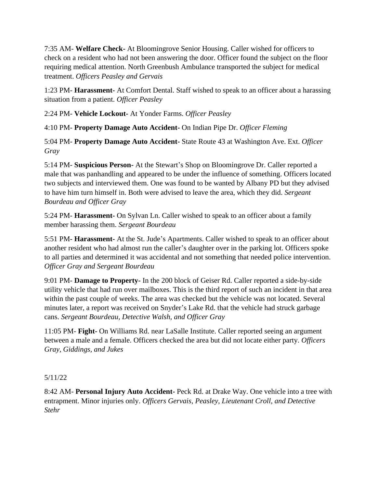7:35 AM- **Welfare Check-** At Bloomingrove Senior Housing. Caller wished for officers to check on a resident who had not been answering the door. Officer found the subject on the floor requiring medical attention. North Greenbush Ambulance transported the subject for medical treatment. *Officers Peasley and Gervais*

1:23 PM- **Harassment-** At Comfort Dental. Staff wished to speak to an officer about a harassing situation from a patient. *Officer Peasley*

2:24 PM- **Vehicle Lockout-** At Yonder Farms. *Officer Peasley*

4:10 PM- **Property Damage Auto Accident-** On Indian Pipe Dr. *Officer Fleming*

5:04 PM- **Property Damage Auto Accident-** State Route 43 at Washington Ave. Ext. *Officer Gray*

5:14 PM- **Suspicious Person-** At the Stewart's Shop on Bloomingrove Dr. Caller reported a male that was panhandling and appeared to be under the influence of something. Officers located two subjects and interviewed them. One was found to be wanted by Albany PD but they advised to have him turn himself in. Both were advised to leave the area, which they did. *Sergeant Bourdeau and Officer Gray*

5:24 PM- **Harassment-** On Sylvan Ln. Caller wished to speak to an officer about a family member harassing them. *Sergeant Bourdeau*

5:51 PM- **Harassment-** At the St. Jude's Apartments. Caller wished to speak to an officer about another resident who had almost run the caller's daughter over in the parking lot. Officers spoke to all parties and determined it was accidental and not something that needed police intervention. *Officer Gray and Sergeant Bourdeau*

9:01 PM- **Damage to Property-** In the 200 block of Geiser Rd. Caller reported a side-by-side utility vehicle that had run over mailboxes. This is the third report of such an incident in that area within the past couple of weeks. The area was checked but the vehicle was not located. Several minutes later, a report was received on Snyder's Lake Rd. that the vehicle had struck garbage cans. *Sergeant Bourdeau, Detective Walsh, and Officer Gray*

11:05 PM- **Fight-** On Williams Rd. near LaSalle Institute. Caller reported seeing an argument between a male and a female. Officers checked the area but did not locate either party. *Officers Gray, Giddings, and Jukes*

5/11/22

8:42 AM- **Personal Injury Auto Accident-** Peck Rd. at Drake Way. One vehicle into a tree with entrapment. Minor injuries only. *Officers Gervais, Peasley, Lieutenant Croll, and Detective Stehr*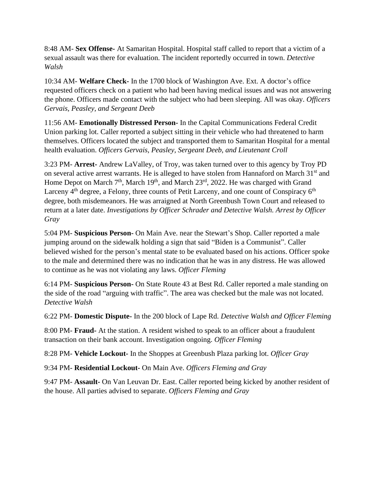8:48 AM- **Sex Offense-** At Samaritan Hospital. Hospital staff called to report that a victim of a sexual assault was there for evaluation. The incident reportedly occurred in town. *Detective Walsh*

10:34 AM- **Welfare Check-** In the 1700 block of Washington Ave. Ext. A doctor's office requested officers check on a patient who had been having medical issues and was not answering the phone. Officers made contact with the subject who had been sleeping. All was okay. *Officers Gervais, Peasley, and Sergeant Deeb*

11:56 AM- **Emotionally Distressed Person-** In the Capital Communications Federal Credit Union parking lot. Caller reported a subject sitting in their vehicle who had threatened to harm themselves. Officers located the subject and transported them to Samaritan Hospital for a mental health evaluation. *Officers Gervais, Peasley, Sergeant Deeb, and Lieutenant Croll*

3:23 PM- **Arrest-** Andrew LaValley, of Troy, was taken turned over to this agency by Troy PD on several active arrest warrants. He is alleged to have stolen from Hannaford on March 31<sup>st</sup> and Home Depot on March  $7<sup>th</sup>$ , March  $19<sup>th</sup>$ , and March  $23<sup>rd</sup>$ , 2022. He was charged with Grand Larceny  $4<sup>th</sup>$  degree, a Felony, three counts of Petit Larceny, and one count of Conspiracy  $6<sup>th</sup>$ degree, both misdemeanors. He was arraigned at North Greenbush Town Court and released to return at a later date. *Investigations by Officer Schrader and Detective Walsh. Arrest by Officer Gray*

5:04 PM- **Suspicious Person-** On Main Ave. near the Stewart's Shop. Caller reported a male jumping around on the sidewalk holding a sign that said "Biden is a Communist". Caller believed wished for the person's mental state to be evaluated based on his actions. Officer spoke to the male and determined there was no indication that he was in any distress. He was allowed to continue as he was not violating any laws. *Officer Fleming*

6:14 PM- **Suspicious Person-** On State Route 43 at Best Rd. Caller reported a male standing on the side of the road "arguing with traffic". The area was checked but the male was not located. *Detective Walsh*

6:22 PM- **Domestic Dispute-** In the 200 block of Lape Rd. *Detective Walsh and Officer Fleming*

8:00 PM- **Fraud-** At the station. A resident wished to speak to an officer about a fraudulent transaction on their bank account. Investigation ongoing. *Officer Fleming*

8:28 PM- **Vehicle Lockout-** In the Shoppes at Greenbush Plaza parking lot. *Officer Gray*

9:34 PM- **Residential Lockout-** On Main Ave. *Officers Fleming and Gray*

9:47 PM- **Assault-** On Van Leuvan Dr. East. Caller reported being kicked by another resident of the house. All parties advised to separate. *Officers Fleming and Gray*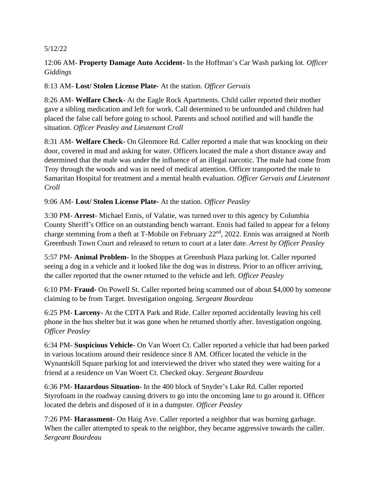#### 5/12/22

# 12:06 AM- **Property Damage Auto Accident-** In the Hoffman's Car Wash parking lot. *Officer Giddings*

# 8:13 AM- **Lost/ Stolen License Plate-** At the station. *Officer Gervais*

8:26 AM- **Welfare Check-** At the Eagle Rock Apartments. Child caller reported their mother gave a sibling medication and left for work. Call determined to be unfounded and children had placed the false call before going to school. Parents and school notified and will handle the situation. *Officer Peasley and Lieutenant Croll*

8:31 AM- **Welfare Check-** On Glenmore Rd. Caller reported a male that was knocking on their door, covered in mud and asking for water. Officers located the male a short distance away and determined that the male was under the influence of an illegal narcotic. The male had come from Troy through the woods and was in need of medical attention. Officer transported the male to Samaritan Hospital for treatment and a mental health evaluation. *Officer Gervais and Lieutenant Croll*

## 9:06 AM- **Lost/ Stolen License Plate-** At the station. *Officer Peasley*

3:30 PM- **Arrest-** Michael Ennis, of Valatie, was turned over to this agency by Columbia County Sheriff's Office on an outstanding bench warrant. Ennis had failed to appear for a felony charge stemming from a theft at T-Mobile on February 22<sup>nd</sup>, 2022. Ennis was arraigned at North Greenbush Town Court and released to return to court at a later date. *Arrest by Officer Peasley*

5:57 PM- **Animal Problem-** In the Shoppes at Greenbush Plaza parking lot. Caller reported seeing a dog in a vehicle and it looked like the dog was in distress. Prior to an officer arriving, the caller reported that the owner returned to the vehicle and left. *Officer Peasley*

6:10 PM- **Fraud-** On Powell St. Caller reported being scammed out of about \$4,000 by someone claiming to be from Target. Investigation ongoing. *Sergeant Bourdeau*

6:25 PM- **Larceny-** At the CDTA Park and Ride. Caller reported accidentally leaving his cell phone in the bus shelter but it was gone when he returned shortly after. Investigation ongoing. *Officer Peasley*

6:34 PM- **Suspicious Vehicle-** On Van Woert Ct. Caller reported a vehicle that had been parked in various locations around their residence since 8 AM. Officer located the vehicle in the Wynantskill Square parking lot and interviewed the driver who stated they were waiting for a friend at a residence on Van Woert Ct. Checked okay. *Sergeant Bourdeau*

6:36 PM- **Hazardous Situation-** In the 400 block of Snyder's Lake Rd. Caller reported Styrofoam in the roadway causing drivers to go into the oncoming lane to go around it. Officer located the debris and disposed of it in a dumpster. *Officer Peasley*

7:26 PM- **Harassment-** On Haig Ave. Caller reported a neighbor that was burning garbage. When the caller attempted to speak to the neighbor, they became aggressive towards the caller. *Sergeant Bourdeau*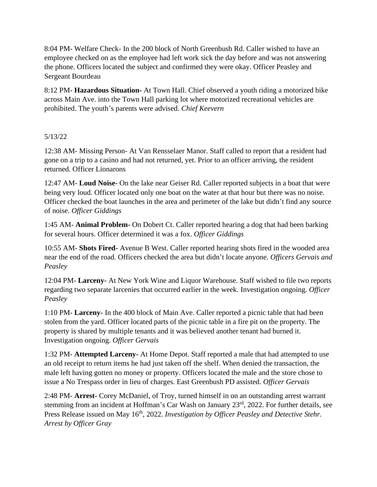8:04 PM- Welfare Check- In the 200 block of North Greenbush Rd. Caller wished to have an employee checked on as the employee had left work sick the day before and was not answering the phone. Officers located the subject and confirmed they were okay. Officer Peasley and Sergeant Bourdeau

8:12 PM- **Hazardous Situation-** At Town Hall. Chief observed a youth riding a motorized bike across Main Ave. into the Town Hall parking lot where motorized recreational vehicles are prohibited. The youth's parents were advised. *Chief Keevern*

## 5/13/22

12:38 AM- Missing Person- At Van Rensselaer Manor. Staff called to report that a resident had gone on a trip to a casino and had not returned, yet. Prior to an officer arriving, the resident returned. Officer Lionarons

12:47 AM- **Loud Noise-** On the lake near Geiser Rd. Caller reported subjects in a boat that were being very loud. Officer located only one boat on the water at that hour but there was no noise. Officer checked the boat launches in the area and perimeter of the lake but didn't find any source of noise. *Officer Giddings*

1:45 AM- **Animal Problem-** On Dobert Ct. Caller reported hearing a dog that had been barking for several hours. Officer determined it was a fox. *Officer Giddings*

10:55 AM- **Shots Fired-** Avenue B West. Caller reported hearing shots fired in the wooded area near the end of the road. Officers checked the area but didn't locate anyone. *Officers Gervais and Peasley*

12:04 PM- **Larceny-** At New York Wine and Liquor Warehouse. Staff wished to file two reports regarding two separate larcenies that occurred earlier in the week. Investigation ongoing. *Officer Peasley*

1:10 PM- **Larceny-** In the 400 block of Main Ave. Caller reported a picnic table that had been stolen from the yard. Officer located parts of the picnic table in a fire pit on the property. The property is shared by multiple tenants and it was believed another tenant had burned it. Investigation ongoing. *Officer Gervais*

1:32 PM- **Attempted Larceny-** At Home Depot. Staff reported a male that had attempted to use an old receipt to return items he had just taken off the shelf. When denied the transaction, the male left having gotten no money or property. Officers located the male and the store chose to issue a No Trespass order in lieu of charges. East Greenbush PD assisted. *Officer Gervais*

2:48 PM- **Arrest-** Corey McDaniel, of Troy, turned himself in on an outstanding arrest warrant stemming from an incident at Hoffman's Car Wash on January 23<sup>rd</sup>, 2022. For further details, see Press Release issued on May 16<sup>th</sup>, 2022. *Investigation by Officer Peasley and Detective Stehr. Arrest by Officer Gray*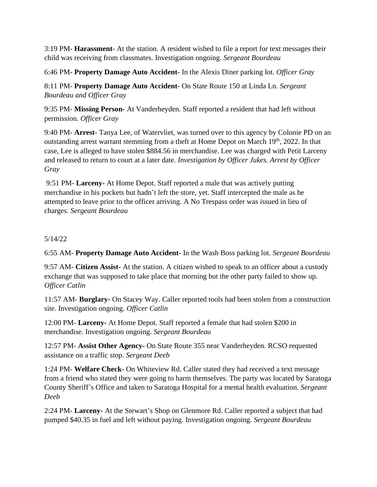3:19 PM- **Harassment-** At the station. A resident wished to file a report for text messages their child was receiving from classmates. Investigation ongoing. *Sergeant Bourdeau*

6:46 PM- **Property Damage Auto Accident-** In the Alexis Diner parking lot. *Officer Gray*

8:11 PM- **Property Damage Auto Accident-** On State Route 150 at Linda Ln. *Sergeant Bourdeau and Officer Gray*

9:35 PM- **Missing Person-** At Vanderheyden. Staff reported a resident that had left without permission. *Officer Gray*

9:40 PM- **Arrest-** Tanya Lee, of Watervliet, was turned over to this agency by Colonie PD on an outstanding arrest warrant stemming from a theft at Home Depot on March  $19<sup>th</sup>$ , 2022. In that case, Lee is alleged to have stolen \$884.56 in merchandise. Lee was charged with Petit Larceny and released to return to court at a later date. *Investigation by Officer Jukes. Arrest by Officer Gray*

9:51 PM- **Larceny-** At Home Depot. Staff reported a male that was actively putting merchandise in his pockets but hadn't left the store, yet. Staff intercepted the male as he attempted to leave prior to the officer arriving. A No Trespass order was issued in lieu of charges. *Sergeant Bourdeau*

## 5/14/22

6:55 AM- **Property Damage Auto Accident-** In the Wash Boss parking lot. *Sergeant Bourdeau*

9:57 AM- **Citizen Assist-** At the station. A citizen wished to speak to an officer about a custody exchange that was supposed to take place that morning but the other party failed to show up. *Officer Catlin*

11:57 AM- **Burglary-** On Stacey Way. Caller reported tools had been stolen from a construction site. Investigation ongoing. *Officer Catlin*

12:00 PM- **Larceny-** At Home Depot. Staff reported a female that had stolen \$200 in merchandise. Investigation ongoing. *Sergeant Bourdeau*

12:57 PM- **Assist Other Agency-** On State Route 355 near Vanderheyden. RCSO requested assistance on a traffic stop. *Sergeant Deeb*

1:24 PM- **Welfare Check-** On Whiteview Rd. Caller stated they had received a text message from a friend who stated they were going to harm themselves. The party was located by Saratoga County Sheriff's Office and taken to Saratoga Hospital for a mental health evaluation. *Sergeant Deeb*

2:24 PM- **Larceny-** At the Stewart's Shop on Glenmore Rd. Caller reported a subject that had pumped \$40.35 in fuel and left without paying. Investigation ongoing. *Sergeant Bourdeau*